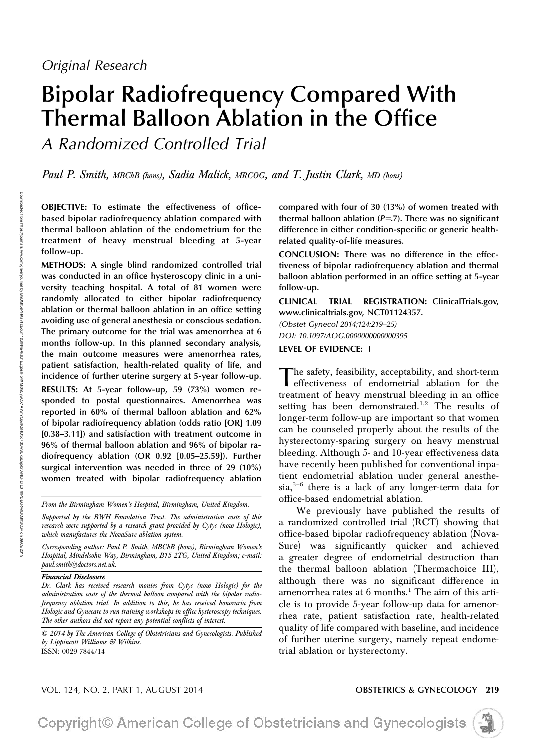# Bipolar Radiofrequency Compared With Thermal Balloon Ablation in the Office

A Randomized Controlled Trial

Paul P. Smith, MBChB (hons), Sadia Malick, MRCOG, and T. Justin Clark, MD (hons)

OBJECTIVE: To estimate the effectiveness of officebased bipolar radiofrequency ablation compared with thermal balloon ablation of the endometrium for the treatment of heavy menstrual bleeding at 5-year follow-up.

METHODS: A single blind randomized controlled trial was conducted in an office hysteroscopy clinic in a university teaching hospital. A total of 81 women were randomly allocated to either bipolar radiofrequency ablation or thermal balloon ablation in an office setting avoiding use of general anesthesia or conscious sedation. The primary outcome for the trial was amenorrhea at 6 months follow-up. In this planned secondary analysis, the main outcome measures were amenorrhea rates, patient satisfaction, health-related quality of life, and incidence of further uterine surgery at 5-year follow-up.

RESULTS: At 5-year follow-up, 59 (73%) women responded to postal questionnaires. Amenorrhea was reported in 60% of thermal balloon ablation and 62% of bipolar radiofrequency ablation (odds ratio [OR] 1.09 [0.38–3.11]) and satisfaction with treatment outcome in 96% of thermal balloon ablation and 96% of bipolar radiofrequency ablation (OR 0.92 [0.05–25.59]). Further surgical intervention was needed in three of 29 (10%) women treated with bipolar radiofrequency ablation

From the Birmingham Women's Hospital, Birmingham, United Kingdom.

Supported by the BWH Foundation Trust. The administration costs of this research were supported by a research grant provided by Cytyc (now Hologic), which manufactures the NovaSure ablation system.

Corresponding author: Paul P. Smith, MBChB (hons), Birmingham Women's Hospital, Mindelsohn Way, Birmingham, B15 2TG, United Kingdom; e-mail: paul.smith@doctors.net.uk.

### Financial Disclosure

Dr. Clark has received research monies from Cytyc (now Hologic) for the administration costs of the thermal balloon compared with the bipolar radiofrequency ablation trial. In addition to this, he has received honoraria from Hologic and Gynecare to run training workshops in office hysteroscopy techniques. The other authors did not report any potential conflicts of interest.

© 2014 by The American College of Obstetricians and Gynecologists. Published by Lippincott Williams & Wilkins. ISSN: 0029-7844/14

compared with four of 30 (13%) of women treated with thermal balloon ablation  $(P=.7)$ . There was no significant difference in either condition-specific or generic healthrelated quality-of-life measures.

CONCLUSION: There was no difference in the effectiveness of bipolar radiofrequency ablation and thermal balloon ablation performed in an office setting at 5-year follow-up.

CLINICAL TRIAL REGISTRATION: [ClinicalTrials.gov,](http://ClinicalTrials.gov) [www.clinicaltrials.gov,](http://www.clinicaltrials.gov) NCT01124357.

(Obstet Gynecol 2014;124:219–25) DOI: 10.1097/AOG.0000000000000395

### LEVEL OF EVIDENCE: <sup>I</sup>

The safety, feasibility, acceptability, and short-term<br>
effectiveness of endometrial ablation for the treatment of heavy menstrual bleeding in an office setting has been demonstrated.<sup>1,2</sup> The results of longer-term follow-up are important so that women can be counseled properly about the results of the hysterectomy-sparing surgery on heavy menstrual bleeding. Although 5- and 10-year effectiveness data have recently been published for conventional inpatient endometrial ablation under general anesthesia,<sup>3</sup>–<sup>6</sup> there is a lack of any longer-term data for office-based endometrial ablation.

We previously have published the results of a randomized controlled trial (RCT) showing that office-based bipolar radiofrequency ablation (Nova-Sure) was significantly quicker and achieved a greater degree of endometrial destruction than the thermal balloon ablation (Thermachoice III), although there was no significant difference in amenorrhea rates at 6 months.<sup>1</sup> The aim of this article is to provide 5-year follow-up data for amenorrhea rate, patient satisfaction rate, health-related quality of life compared with baseline, and incidence of further uterine surgery, namely repeat endometrial ablation or hysterectomy.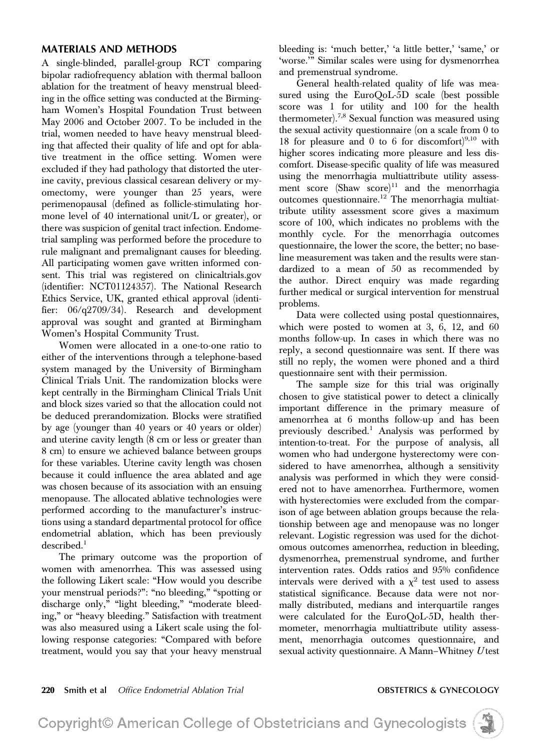A single-blinded, parallel-group RCT comparing bipolar radiofrequency ablation with thermal balloon ablation for the treatment of heavy menstrual bleeding in the office setting was conducted at the Birmingham Women's Hospital Foundation Trust between May 2006 and October 2007. To be included in the trial, women needed to have heavy menstrual bleeding that affected their quality of life and opt for ablative treatment in the office setting. Women were excluded if they had pathology that distorted the uterine cavity, previous classical cesarean delivery or myomectomy, were younger than 25 years, were perimenopausal (defined as follicle-stimulating hormone level of 40 international unit/L or greater), or there was suspicion of genital tract infection. Endometrial sampling was performed before the procedure to rule malignant and premalignant causes for bleeding. All participating women gave written informed consent. This trial was registered on [clinicaltrials.gov](http://clinicaltrials.gov) (identifier: NCT01124357). The National Research Ethics Service, UK, granted ethical approval (identifier: 06/q2709/34). Research and development approval was sought and granted at Birmingham Women's Hospital Community Trust.

Women were allocated in a one-to-one ratio to either of the interventions through a telephone-based system managed by the University of Birmingham Clinical Trials Unit. The randomization blocks were kept centrally in the Birmingham Clinical Trials Unit and block sizes varied so that the allocation could not be deduced prerandomization. Blocks were stratified by age (younger than 40 years or 40 years or older) and uterine cavity length (8 cm or less or greater than 8 cm) to ensure we achieved balance between groups for these variables. Uterine cavity length was chosen because it could influence the area ablated and age was chosen because of its association with an ensuing menopause. The allocated ablative technologies were performed according to the manufacturer's instructions using a standard departmental protocol for office endometrial ablation, which has been previously  $described.<sup>1</sup>$ 

The primary outcome was the proportion of women with amenorrhea. This was assessed using the following Likert scale: "How would you describe your menstrual periods?": "no bleeding," "spotting or discharge only," "light bleeding," "moderate bleeding," or "heavy bleeding." Satisfaction with treatment was also measured using a Likert scale using the following response categories: "Compared with before treatment, would you say that your heavy menstrual

bleeding is: 'much better,' 'a little better,' 'same,' or 'worse.'" Similar scales were using for dysmenorrhea and premenstrual syndrome.

General health-related quality of life was measured using the EuroQoL-5D scale (best possible score was 1 for utility and 100 for the health thermometer).7,8 Sexual function was measured using the sexual activity questionnaire (on a scale from 0 to 18 for pleasure and 0 to 6 for discomfort $)^{9,10}$  with higher scores indicating more pleasure and less discomfort. Disease-specific quality of life was measured using the menorrhagia multiattribute utility assessment score  $(Shaw score)^{11}$  and the menorrhagia outcomes questionnaire.<sup>12</sup> The menorrhagia multiattribute utility assessment score gives a maximum score of 100, which indicates no problems with the monthly cycle. For the menorrhagia outcomes questionnaire, the lower the score, the better; no baseline measurement was taken and the results were standardized to a mean of 50 as recommended by the author. Direct enquiry was made regarding further medical or surgical intervention for menstrual problems.

Data were collected using postal questionnaires, which were posted to women at 3, 6, 12, and 60 months follow-up. In cases in which there was no reply, a second questionnaire was sent. If there was still no reply, the women were phoned and a third questionnaire sent with their permission.

The sample size for this trial was originally chosen to give statistical power to detect a clinically important difference in the primary measure of amenorrhea at 6 months follow-up and has been previously described.<sup>1</sup> Analysis was performed by intention-to-treat. For the purpose of analysis, all women who had undergone hysterectomy were considered to have amenorrhea, although a sensitivity analysis was performed in which they were considered not to have amenorrhea. Furthermore, women with hysterectomies were excluded from the comparison of age between ablation groups because the relationship between age and menopause was no longer relevant. Logistic regression was used for the dichotomous outcomes amenorrhea, reduction in bleeding, dysmenorrhea, premenstrual syndrome, and further intervention rates. Odds ratios and 95% confidence intervals were derived with a  $\chi^2$  test used to assess statistical significance. Because data were not normally distributed, medians and interquartile ranges were calculated for the EuroQoL-5D, health thermometer, menorrhagia multiattribute utility assessment, menorrhagia outcomes questionnaire, and sexual activity questionnaire. A Mann-Whitney Utest

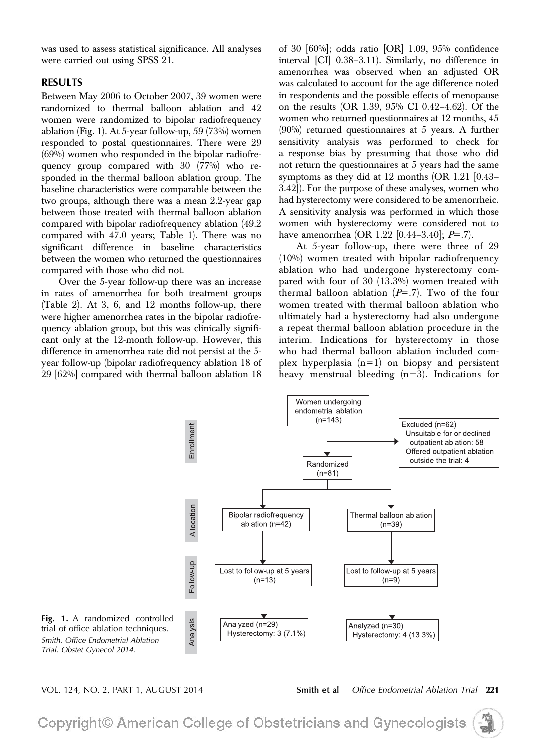was used to assess statistical significance. All analyses were carried out using SPSS 21.

RESULTS Between May 2006 to October 2007, 39 women were randomized to thermal balloon ablation and 42 women were randomized to bipolar radiofrequency ablation (Fig. 1). At 5-year follow-up, 59 (73%) women responded to postal questionnaires. There were 29 (69%) women who responded in the bipolar radiofrequency group compared with 30 (77%) who responded in the thermal balloon ablation group. The baseline characteristics were comparable between the two groups, although there was a mean 2.2-year gap between those treated with thermal balloon ablation compared with bipolar radiofrequency ablation (49.2 compared with 47.0 years; Table 1). There was no significant difference in baseline characteristics between the women who returned the questionnaires compared with those who did not.

Over the 5-year follow-up there was an increase in rates of amenorrhea for both treatment groups (Table 2). At 3, 6, and 12 months follow-up, there were higher amenorrhea rates in the bipolar radiofrequency ablation group, but this was clinically significant only at the 12-month follow-up. However, this difference in amenorrhea rate did not persist at the 5 year follow-up (bipolar radiofrequency ablation 18 of 29 [62%] compared with thermal balloon ablation 18 of 30 [60%]; odds ratio [OR] 1.09, 95% confidence interval [CI] 0.38–3.11). Similarly, no difference in amenorrhea was observed when an adjusted OR was calculated to account for the age difference noted in respondents and the possible effects of menopause on the results (OR 1.39, 95% CI 0.42–4.62). Of the women who returned questionnaires at 12 months, 45 (90%) returned questionnaires at 5 years. A further sensitivity analysis was performed to check for a response bias by presuming that those who did not return the questionnaires at 5 years had the same symptoms as they did at 12 months (OR 1.21 [0.43– 3.42]). For the purpose of these analyses, women who had hysterectomy were considered to be amenorrheic. A sensitivity analysis was performed in which those women with hysterectomy were considered not to have amenorrhea (OR 1.22 [0.44–3.40];  $P=$ .7).

At 5-year follow-up, there were three of 29 (10%) women treated with bipolar radiofrequency ablation who had undergone hysterectomy compared with four of 30 (13.3%) women treated with thermal balloon ablation  $(P=0.7)$ . Two of the four women treated with thermal balloon ablation who ultimately had a hysterectomy had also undergone a repeat thermal balloon ablation procedure in the interim. Indications for hysterectomy in those who had thermal balloon ablation included complex hyperplasia  $(n=1)$  on biopsy and persistent heavy menstrual bleeding  $(n=3)$ . Indications for



VOL. 124, NO. 2, PART 1, AUGUST 2014 Smith et al Office Endometrial Ablation Trial 221

Copyright© American College of Obstetricians and Gynecologists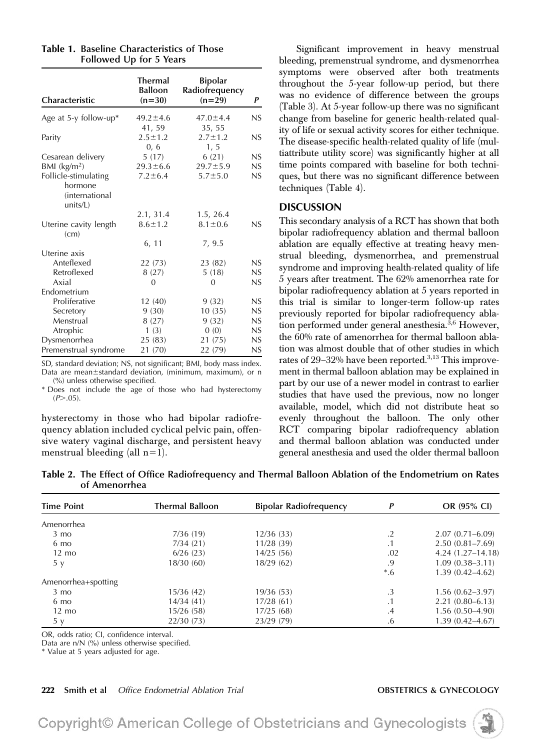| Characteristic            | <b>Thermal</b><br><b>Balloon</b><br>$(n=30)$ | <b>Bipolar</b><br>Radiofrequency<br>$(n=29)$ | P   |
|---------------------------|----------------------------------------------|----------------------------------------------|-----|
| Age at 5-y follow-up*     | $49.2 \pm 4.6$                               | $47.0 \pm 4.4$                               | NS. |
|                           | 41, 59                                       | 35, 55                                       |     |
| Parity                    | $2.5 \pm 1.2$                                | $2.7 \pm 1.2$                                | NS. |
|                           | 0, 6                                         | 1, 5                                         |     |
| Cesarean delivery         | 5(17)                                        | 6(21)                                        | NS  |
| $BM$ (kg/m <sup>2</sup> ) | $29.3 \pm 6.6$                               | $29.7 \pm 5.9$                               | NS  |
| Follicle-stimulating      | $7.2 \pm 6.4$                                | $5.7 \pm 5.0$                                | NS  |
| hormone                   |                                              |                                              |     |
| <i>(international</i>     |                                              |                                              |     |
| units/L)                  |                                              |                                              |     |
|                           | 2.1, 31.4                                    | 1.5, 26.4                                    |     |
| Uterine cavity length     | $8.6 \pm 1.2$                                | $8.1 \pm 0.6$                                | NS  |
| (cm)                      |                                              |                                              |     |
|                           | 6, 11                                        | 7, 9.5                                       |     |
| Uterine axis              |                                              |                                              |     |
| Anteflexed                | 22 (73)                                      | 23 (82)                                      | NS  |
| Retroflexed               | 8(27)                                        | 5(18)                                        | NS  |
| Axial                     | $\Omega$                                     | 0                                            | NS  |
| Endometrium               |                                              |                                              |     |
| Proliferative             | 12 (40)                                      | 9(32)                                        | NS  |
| Secretory                 | 9(30)                                        | 10(35)                                       | NS  |
| Menstrual                 | 8(27)                                        | 9(32)                                        | NS  |
| Atrophic                  | 1(3)                                         | 0(0)                                         | NS  |
| Dysmenorrhea              | 25(83)                                       | 21 (75)                                      | NS  |
| Premenstrual syndrome     | 21 (70)                                      | 22 (79)                                      | NS  |

Table 1. Baseline Characteristics of Those Followed Up for 5 Years

SD, standard deviation; NS, not significant; BMI, body mass index. Data are mean $\pm$ standard deviation, (minimum, maximum), or n

(%) unless otherwise specified. \* Does not include the age of those who had hysterectomy  $(P > .05)$ .

hysterectomy in those who had bipolar radiofrequency ablation included cyclical pelvic pain, offensive watery vaginal discharge, and persistent heavy menstrual bleeding (all  $n=1$ ).

Significant improvement in heavy menstrual bleeding, premenstrual syndrome, and dysmenorrhea symptoms were observed after both treatments throughout the 5-year follow-up period, but there was no evidence of difference between the groups (Table 3). At 5-year follow-up there was no significant change from baseline for generic health-related quality of life or sexual activity scores for either technique. The disease-specific health-related quality of life (multiattribute utility score) was significantly higher at all time points compared with baseline for both techniques, but there was no significant difference between techniques (Table 4).

DISCUSSION This secondary analysis of a RCT has shown that both bipolar radiofrequency ablation and thermal balloon ablation are equally effective at treating heavy menstrual bleeding, dysmenorrhea, and premenstrual syndrome and improving health-related quality of life 5 years after treatment. The 62% amenorrhea rate for bipolar radiofrequency ablation at 5 years reported in this trial is similar to longer-term follow-up rates previously reported for bipolar radiofrequency ablation performed under general anesthesia. $3,6$  However, the 60% rate of amenorrhea for thermal balloon ablation was almost double that of other studies in which rates of 29-32% have been reported.<sup>3,13</sup> This improvement in thermal balloon ablation may be explained in part by our use of a newer model in contrast to earlier studies that have used the previous, now no longer available, model, which did not distribute heat so evenly throughout the balloon. The only other RCT comparing bipolar radiofrequency ablation and thermal balloon ablation was conducted under general anesthesia and used the older thermal balloon

Table 2. The Effect of Office Radiofrequency and Thermal Balloon Ablation of the Endometrium on Rates of Amenorrhea

| <b>Time Point</b>   | <b>Thermal Balloon</b> | <b>Bipolar Radiofrequency</b> | P          | OR (95% CI)          |
|---------------------|------------------------|-------------------------------|------------|----------------------|
| Amenorrhea          |                        |                               |            |                      |
| $3 \text{ mo}$      | 7/36 (19)              | 12/36(33)                     | $\cdot$ .2 | $2.07(0.71 - 6.09)$  |
| $6 \text{ mo}$      | 7/34(21)               | 11/28(39)                     | $\cdot$ 1  | $2.50(0.81 - 7.69)$  |
| $12 \text{ mo}$     | 6/26(23)               | 14/25(56)                     | .02        | $4.24(1.27 - 14.18)$ |
| 5y                  | 18/30(60)              | 18/29(62)                     | .9         | $1.09(0.38 - 3.11)$  |
|                     |                        |                               | $*6$       | $1.39(0.42 - 4.62)$  |
| Amenorrhea+spotting |                        |                               |            |                      |
| $3 \text{ mo}$      | 15/36 (42)             | 19/36(53)                     | .3         | $1.56(0.62 - 3.97)$  |
| $6 \text{ mo}$      | 14/34 (41)             | 17/28(61)                     | . .        | $2.21(0.80 - 6.13)$  |
| $12 \text{ mo}$     | 15/26(58)              | 17/25(68)                     | .4         | $1.56(0.50-4.90)$    |
| 5y                  | 22/30(73)              | 23/29 (79)                    | .6         | $1.39(0.42 - 4.67)$  |

OR, odds ratio; CI, confidence interval.

Data are n/N (%) unless otherwise specified.

\* Value at 5 years adjusted for age.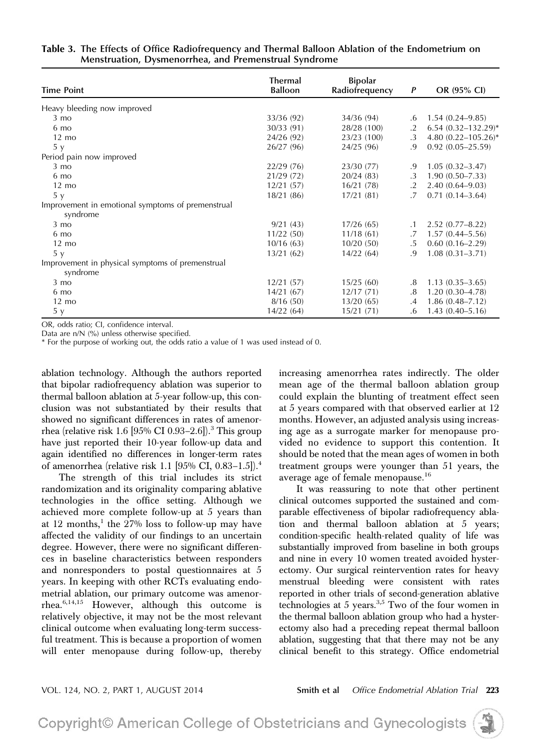| <b>Time Point</b>                                            | <b>Thermal</b><br><b>Balloon</b> | <b>Bipolar</b><br>Radiofrequency | P                | OR (95% CI)              |
|--------------------------------------------------------------|----------------------------------|----------------------------------|------------------|--------------------------|
| Heavy bleeding now improved                                  |                                  |                                  |                  |                          |
| $3 \text{ mo}$                                               | 33/36 (92)                       | 34/36 (94)                       | .6               |                          |
|                                                              |                                  |                                  |                  | $1.54(0.24 - 9.85)$      |
| 6 mo                                                         | 30/33 (91)                       | 28/28 (100)                      | $\cdot$ .2       | $6.54 (0.32 - 132.29)^*$ |
| $12 \text{ mo}$                                              | 24/26 (92)                       | 23/23 (100)                      | $\cdot$ 3        | 4.80 $(0.22 - 105.26)^*$ |
| 5y                                                           | 26/27 (96)                       | 24/25 (96)                       | .9               | $0.92(0.05-25.59)$       |
| Period pain now improved                                     |                                  |                                  |                  |                          |
| $3 \text{ mo}$                                               | 22/29 (76)                       | 23/30 (77)                       | .9               | $1.05(0.32 - 3.47)$      |
| 6 mo                                                         | 21/29 (72)                       | 20/24(83)                        | .3               | $1.90(0.50 - 7.33)$      |
| $12 \text{ mo}$                                              | 12/21(57)                        | 16/21(78)                        | $\cdot$ 2        | $2.40(0.64 - 9.03)$      |
| 5 y                                                          | 18/21(86)                        | 17/21(81)                        | .7               | $0.71(0.14-3.64)$        |
| Improvement in emotional symptoms of premenstrual            |                                  |                                  |                  |                          |
| syndrome                                                     |                                  |                                  |                  |                          |
| $3 \text{ mo}$                                               | 9/21(43)                         | 17/26(65)                        | $\cdot$ 1        | $2.52(0.77 - 8.22)$      |
| 6 mo                                                         | 11/22(50)                        | 11/18(61)                        | .7               | $1.57(0.44 - 5.56)$      |
| $12 \text{ mo}$                                              | 10/16(63)                        | 10/20(50)                        | $.5\overline{ }$ | $0.60(0.16 - 2.29)$      |
| 5 <sub>y</sub>                                               | 13/21(62)                        | 14/22(64)                        | .9               | $1.08(0.31 - 3.71)$      |
| Improvement in physical symptoms of premenstrual<br>syndrome |                                  |                                  |                  |                          |
| $3 \text{ mo}$                                               | 12/21(57)                        | 15/25(60)                        | .8               | $1.13(0.35-3.65)$        |
| 6 mo                                                         | 14/21(67)                        | 12/17(71)                        | .8               | $1.20(0.30-4.78)$        |
| $12 \text{ mo}$                                              | 8/16(50)                         | 13/20(65)                        | .4               | $1.86(0.48 - 7.12)$      |
| 5у                                                           | 14/22(64)                        | 15/21(71)                        | .6               | $1.43(0.40 - 5.16)$      |

| Table 3. The Effects of Office Radiofrequency and Thermal Balloon Ablation of the Endometrium on |  |  |  |  |
|--------------------------------------------------------------------------------------------------|--|--|--|--|
| Menstruation, Dysmenorrhea, and Premenstrual Syndrome                                            |  |  |  |  |

OR, odds ratio; CI, confidence interval.

Data are n/N (%) unless otherwise specified.

\* For the purpose of working out, the odds ratio a value of 1 was used instead of 0.

ablation technology. Although the authors reported that bipolar radiofrequency ablation was superior to thermal balloon ablation at 5-year follow-up, this conclusion was not substantiated by their results that showed no significant differences in rates of amenorrhea (relative risk 1.6 [95% CI 0.93-2.6]).<sup>3</sup> This group have just reported their 10-year follow-up data and again identified no differences in longer-term rates of amenorrhea (relative risk 1.1 [95% CI, 0.83-1.5]).<sup>4</sup>

The strength of this trial includes its strict randomization and its originality comparing ablative technologies in the office setting. Although we achieved more complete follow-up at 5 years than at 12 months,<sup>1</sup> the  $27\%$  loss to follow-up may have affected the validity of our findings to an uncertain degree. However, there were no significant differences in baseline characteristics between responders and nonresponders to postal questionnaires at 5 years. In keeping with other RCTs evaluating endometrial ablation, our primary outcome was amenorrhea.6,14,15 However, although this outcome is relatively objective, it may not be the most relevant clinical outcome when evaluating long-term successful treatment. This is because a proportion of women will enter menopause during follow-up, thereby increasing amenorrhea rates indirectly. The older mean age of the thermal balloon ablation group could explain the blunting of treatment effect seen at 5 years compared with that observed earlier at 12 months. However, an adjusted analysis using increasing age as a surrogate marker for menopause provided no evidence to support this contention. It should be noted that the mean ages of women in both treatment groups were younger than 51 years, the average age of female menopause.<sup>16</sup>

It was reassuring to note that other pertinent clinical outcomes supported the sustained and comparable effectiveness of bipolar radiofrequency ablation and thermal balloon ablation at 5 years; condition-specific health-related quality of life was substantially improved from baseline in both groups and nine in every 10 women treated avoided hysterectomy. Our surgical reintervention rates for heavy menstrual bleeding were consistent with rates reported in other trials of second-generation ablative technologies at 5 years.<sup>3,5</sup> Two of the four women in the thermal balloon ablation group who had a hysterectomy also had a preceding repeat thermal balloon ablation, suggesting that that there may not be any clinical benefit to this strategy. Office endometrial

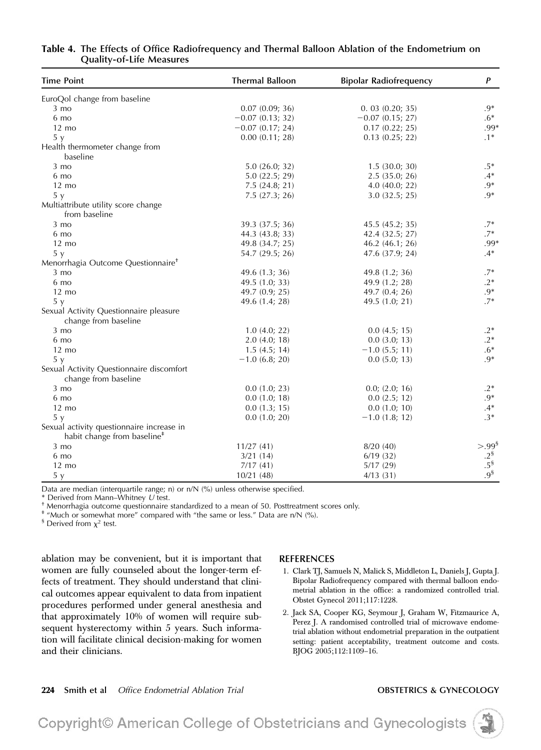| <b>Time Point</b>                                                                    | <b>Thermal Balloon</b> | <b>Bipolar Radiofrequency</b> | P               |
|--------------------------------------------------------------------------------------|------------------------|-------------------------------|-----------------|
| EuroQol change from baseline                                                         |                        |                               |                 |
| $3 \text{ mo}$                                                                       | 0.07(0.09; 36)         | 0.03(0.20; 35)                | $.9*$           |
| 6 mo                                                                                 | $-0.07$ (0.13; 32)     | $-0.07$ (0.15; 27)            | $.6*$           |
| $12 \text{ mo}$                                                                      | $-0.07$ (0.17; 24)     | 0.17(0.22; 25)                | .99*            |
| 5 y                                                                                  | 0.00(0.11; 28)         | $0.13$ $(0.25; 22)$           | $.1*$           |
| Health thermometer change from<br>baseline                                           |                        |                               |                 |
| $3 \text{ mo}$                                                                       | 5.0(26.0; 32)          | 1.5(30.0; 30)                 | $.5*$           |
| 6 mo                                                                                 | 5.0(22.5; 29)          | 2.5(35.0; 26)                 | $.4*$           |
| $12 \text{ mo}$                                                                      | 7.5(24.8; 21)          | $4.0$ (40.0; 22)              | $.9*$           |
| 5 y                                                                                  | 7.5(27.3; 26)          | 3.0(32.5; 25)                 | $.9*$           |
| Multiattribute utility score change<br>from baseline                                 |                        |                               |                 |
| $3 \text{ mo}$                                                                       | 39.3 (37.5; 36)        | 45.5 (45.2; 35)               | $.7*$           |
| 6 mo                                                                                 | 44.3 (43.8; 33)        | 42.4 (32.5; 27)               | $.7*$           |
| $12 \text{ mo}$                                                                      | 49.8 (34.7; 25)        | 46.2 (46.1; 26)               | .99*            |
| 5y                                                                                   | 54.7 (29.5; 26)        | 47.6 (37.9; 24)               | $.4*$           |
| Menorrhagia Outcome Questionnaire <sup>†</sup>                                       |                        |                               |                 |
| $3 \text{ mo}$                                                                       | 49.6 $(1.3; 36)$       | 49.8 (1.2; 36)                | $.7*$           |
| 6 mo                                                                                 | 49.5 (1.0; 33)         | 49.9 (1.2; 28)                | $.2*$           |
| $12 \text{ mo}$                                                                      | 49.7 (0.9; 25)         | 49.7 $(0.4; 26)$              | $.9*$           |
| 5y                                                                                   | 49.6 (1.4; 28)         | 49.5 (1.0; 21)                | $.7*$           |
| Sexual Activity Questionnaire pleasure<br>change from baseline                       |                        |                               |                 |
| $3 \text{ mo}$                                                                       | 1.0(4.0; 22)           | 0.0(4.5; 15)                  | $.2*$           |
| 6 mo                                                                                 | 2.0(4.0; 18)           | $0.0$ $(3.0; 13)$             | $.2*$           |
| $12 \text{ mo}$                                                                      | 1.5(4.5; 14)           | $-1.0$ (5.5; 11)              | $.6*$           |
| 5y                                                                                   | $-1.0$ (6.8; 20)       | $0.0$ $(5.0; 13)$             | $.9*$           |
| Sexual Activity Questionnaire discomfort<br>change from baseline                     |                        |                               |                 |
| $3 \text{ mo}$                                                                       | $0.0$ $(1.0; 23)$      | 0.0; (2.0; 16)                | $.2*$           |
| 6 mo                                                                                 | 0.0(1.0; 18)           | 0.0(2.5; 12)                  | $.9*$           |
| $12 \text{ mo}$                                                                      | 0.0(1.3; 15)           | 0.0(1.0; 10)                  | $.4*$           |
| 5 y                                                                                  | $0.0$ $(1.0; 20)$      | $-1.0$ (1.8; 12)              | $.3*$           |
| Sexual activity questionnaire increase in<br>habit change from baseline <sup>#</sup> |                        |                               |                 |
| $3 \text{ mo}$                                                                       | 11/27(41)              | 8/20(40)                      | $> 99^s$        |
| 6 mo                                                                                 | 3/21(14)               | 6/19(32)                      | $.2^{\$}$       |
| $12 \text{ mo}$                                                                      | 7/17(41)               | 5/17(29)                      | $.5^{\$}$       |
| 5y                                                                                   | 10/21(48)              | 4/13(31)                      | .9 <sup>§</sup> |

### Table 4. The Effects of Office Radiofrequency and Thermal Balloon Ablation of the Endometrium on Quality-of-Life Measures

Data are median (interquartile range; n) or n/N (%) unless otherwise specified.<br>\* Derived from Mann–Whitney U test.

 $<sup>†</sup>$  Menorrhagia outcome questionnaire standardized to a mean of 50. Posttreatment scores only.</sup>

‡ "Much or somewhat more" compared with "the same or less." Data are n/N (%).

 $\frac{1}{2}$  Derived from  $\chi^2$  test.

ablation may be convenient, but it is important that women are fully counseled about the longer-term effects of treatment. They should understand that clinical outcomes appear equivalent to data from inpatient procedures performed under general anesthesia and that approximately 10% of women will require subsequent hysterectomy within 5 years. Such information will facilitate clinical decision-making for women and their clinicians.

### REFERENCES

- 1. Clark TJ, Samuels N, Malick S, Middleton L, Daniels J, Gupta J. Bipolar Radiofrequency compared with thermal balloon endometrial ablation in the office: a randomized controlled trial. Obstet Gynecol 2011;117:1228.
- 2. Jack SA, Cooper KG, Seymour J, Graham W, Fitzmaurice A, Perez J. A randomised controlled trial of microwave endometrial ablation without endometrial preparation in the outpatient setting: patient acceptability, treatment outcome and costs. BJOG 2005;112:1109–16.

Copyright© American College of Obstetricians and Gynecologists